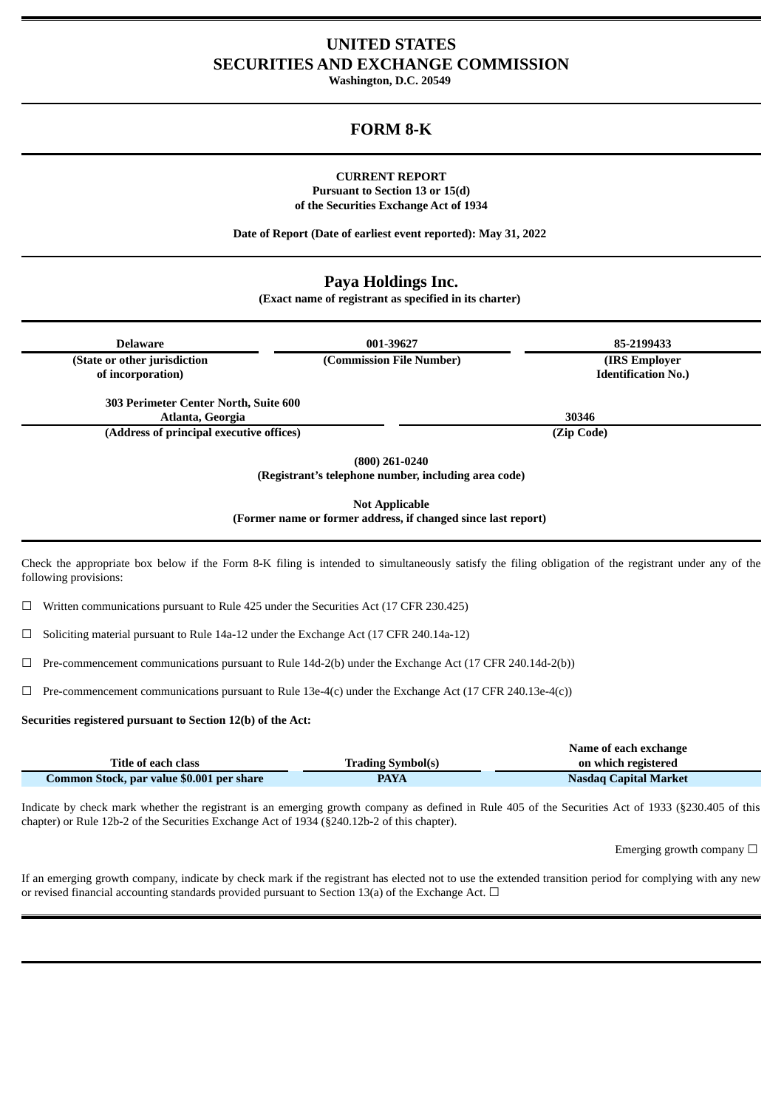## **UNITED STATES SECURITIES AND EXCHANGE COMMISSION**

**Washington, D.C. 20549**

# **FORM 8-K**

### **CURRENT REPORT Pursuant to Section 13 or 15(d) of the Securities Exchange Act of 1934**

**Date of Report (Date of earliest event reported): May 31, 2022**

## **Paya Holdings Inc.**

**(Exact name of registrant as specified in its charter)**

| <b>Delaware</b>                                                                                        | 001-39627                                                                                                                                             | 85-2199433                 |  |
|--------------------------------------------------------------------------------------------------------|-------------------------------------------------------------------------------------------------------------------------------------------------------|----------------------------|--|
| (State or other jurisdiction                                                                           | (Commission File Number)                                                                                                                              | (IRS Employer              |  |
| of incorporation)                                                                                      |                                                                                                                                                       | <b>Identification No.)</b> |  |
| 303 Perimeter Center North, Suite 600                                                                  |                                                                                                                                                       |                            |  |
| Atlanta, Georgia                                                                                       |                                                                                                                                                       | 30346                      |  |
| (Address of principal executive offices)                                                               |                                                                                                                                                       | (Zip Code)                 |  |
|                                                                                                        | $(800)$ 261-0240<br>(Registrant's telephone number, including area code)                                                                              |                            |  |
| <b>Not Applicable</b><br>(Former name or former address, if changed since last report)                 |                                                                                                                                                       |                            |  |
| following provisions:                                                                                  | Check the appropriate box below if the Form 8-K filing is intended to simultaneously satisfy the filing obligation of the registrant under any of the |                            |  |
| Written communications pursuant to Rule 425 under the Securities Act (17 CFR 230.425)                  |                                                                                                                                                       |                            |  |
| Soliciting material pursuant to Rule 14a-12 under the Exchange Act (17 CFR 240.14a-12)                 |                                                                                                                                                       |                            |  |
|                                                                                                        | Pre-commencement communications pursuant to Rule 14d-2(b) under the Exchange Act (17 CFR 240.14d-2(b))                                                |                            |  |
| Pre-commencement communications pursuant to Rule 13e-4(c) under the Exchange Act (17 CFR 240.13e-4(c)) |                                                                                                                                                       |                            |  |

**Securities registered pursuant to Section 12(b) of the Act:**

|                                           |                          | Name of each exchange        |
|-------------------------------------------|--------------------------|------------------------------|
| Title of each class                       | <b>Trading Symbol(s)</b> | on which registered          |
| Common Stock, par value \$0.001 per share | <b>PAYA</b>              | <b>Nasdaq Capital Market</b> |

Indicate by check mark whether the registrant is an emerging growth company as defined in Rule 405 of the Securities Act of 1933 (§230.405 of this chapter) or Rule 12b-2 of the Securities Exchange Act of 1934 (§240.12b-2 of this chapter).

Emerging growth company  $\Box$ 

If an emerging growth company, indicate by check mark if the registrant has elected not to use the extended transition period for complying with any new or revised financial accounting standards provided pursuant to Section 13(a) of the Exchange Act.  $\Box$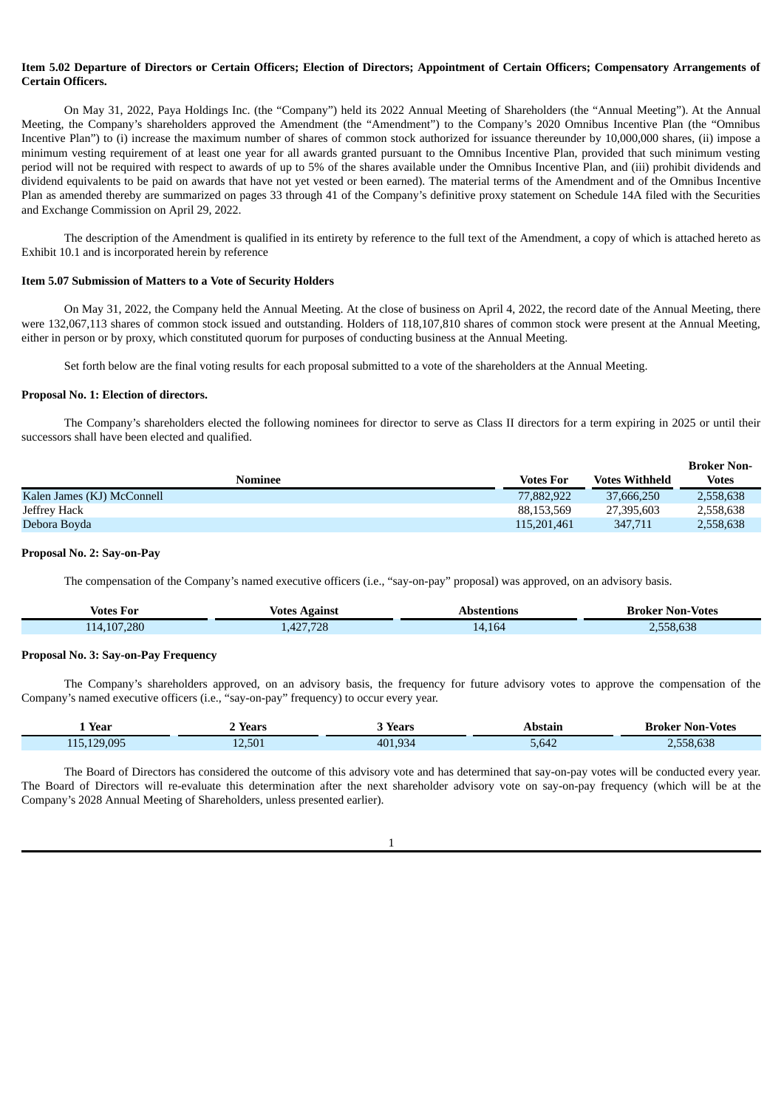## Item 5.02 Departure of Directors or Certain Officers: Election of Directors: Appointment of Certain Officers: Compensatory Arrangements of **Certain Officers.**

On May 31, 2022, Paya Holdings Inc. (the "Company") held its 2022 Annual Meeting of Shareholders (the "Annual Meeting"). At the Annual Meeting, the Company's shareholders approved the Amendment (the "Amendment") to the Company's 2020 Omnibus Incentive Plan (the "Omnibus Incentive Plan") to (i) increase the maximum number of shares of common stock authorized for issuance thereunder by 10,000,000 shares, (ii) impose a minimum vesting requirement of at least one year for all awards granted pursuant to the Omnibus Incentive Plan, provided that such minimum vesting period will not be required with respect to awards of up to 5% of the shares available under the Omnibus Incentive Plan, and (iii) prohibit dividends and dividend equivalents to be paid on awards that have not yet vested or been earned). The material terms of the Amendment and of the Omnibus Incentive Plan as amended thereby are summarized on pages 33 through 41 of the Company's definitive proxy statement on Schedule 14A filed with the Securities and Exchange Commission on April 29, 2022.

The description of the Amendment is qualified in its entirety by reference to the full text of the Amendment, a copy of which is attached hereto as Exhibit 10.1 and is incorporated herein by reference

#### **Item 5.07 Submission of Matters to a Vote of Security Holders**

On May 31, 2022, the Company held the Annual Meeting. At the close of business on April 4, 2022, the record date of the Annual Meeting, there were 132,067,113 shares of common stock issued and outstanding. Holders of 118,107,810 shares of common stock were present at the Annual Meeting, either in person or by proxy, which constituted quorum for purposes of conducting business at the Annual Meeting.

Set forth below are the final voting results for each proposal submitted to a vote of the shareholders at the Annual Meeting.

#### **Proposal No. 1: Election of directors.**

The Company's shareholders elected the following nominees for director to serve as Class II directors for a term expiring in 2025 or until their successors shall have been elected and qualified.

**Broker Non-**

|                            |                  |                       | DIUKEL INUII- |
|----------------------------|------------------|-----------------------|---------------|
| <b>Nominee</b>             | <b>Votes For</b> | <b>Votes Withheld</b> | <b>Votes</b>  |
| Kalen James (KJ) McConnell | 77,882,922       | 37.666.250            | 2,558,638     |
| Jeffrey Hack               | 88.153.569       | 27,395,603            | 2,558,638     |
| Debora Boyda               | 115,201,461      | 347.711               | 2,558,638     |

#### **Proposal No. 2: Say-on-Pay**

The compensation of the Company's named executive officers (i.e., "say-on-pay" proposal) was approved, on an advisory basis.

| <b>Votes For</b> | Against<br>votes | Abstentions | Broker Non-Votes   |
|------------------|------------------|-------------|--------------------|
| 114, 107, 280    | 4,427,728        | 14,164      | 0.000<br>2,558,638 |

#### **Proposal No. 3: Say-on-Pay Frequency**

The Company's shareholders approved, on an advisory basis, the frequency for future advisory votes to approve the compensation of the Company's named executive officers (i.e., "say-on-pay" frequency) to occur every year.

| Year        | Years  | Years   | Abstain              | <b>Broker Non-Votes</b> |
|-------------|--------|---------|----------------------|-------------------------|
| 115,129,095 | 12,501 | 401,934 | $F$ $C$ $A$<br>5,642 | 558.638                 |

The Board of Directors has considered the outcome of this advisory vote and has determined that say-on-pay votes will be conducted every year. The Board of Directors will re-evaluate this determination after the next shareholder advisory vote on say-on-pay frequency (which will be at the Company's 2028 Annual Meeting of Shareholders, unless presented earlier).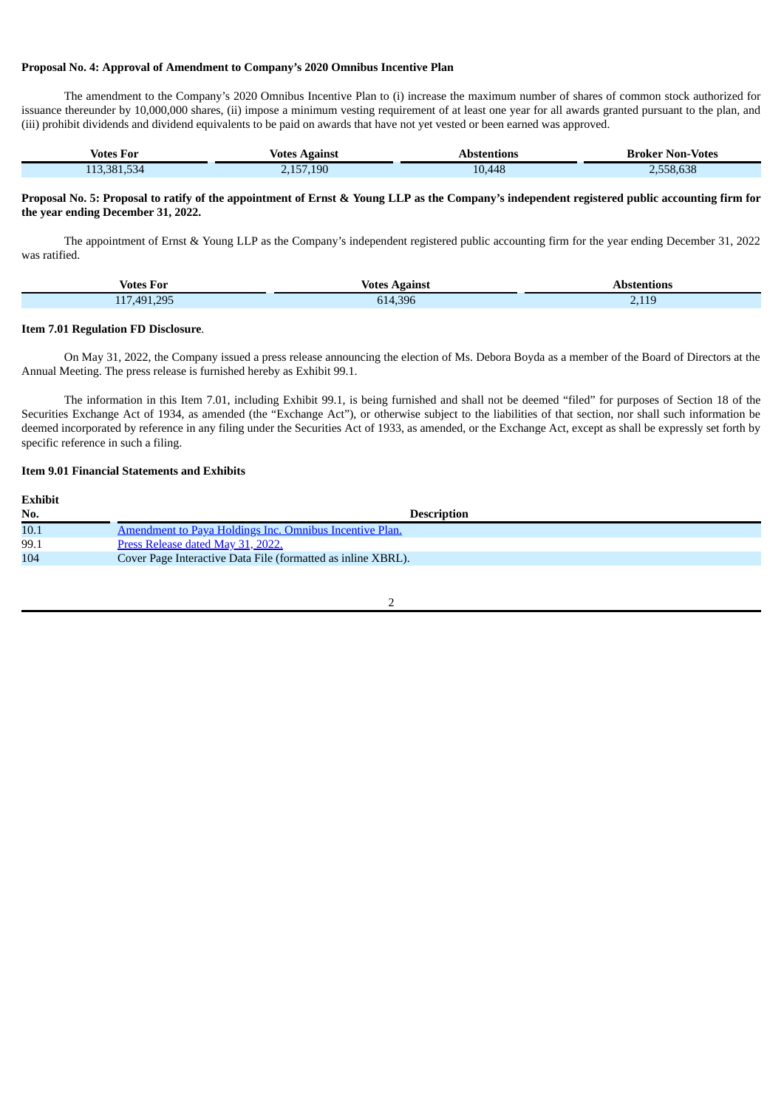## **Proposal No. 4: Approval of Amendment to Company's 2020 Omnibus Incentive Plan**

The amendment to the Company's 2020 Omnibus Incentive Plan to (i) increase the maximum number of shares of common stock authorized for issuance thereunder by 10,000,000 shares, (ii) impose a minimum vesting requirement of at least one year for all awards granted pursuant to the plan, and (iii) prohibit dividends and dividend equivalents to be paid on awards that have not yet vested or been earned was approved.

| Votes For    | Votes Against     | Abstentions | Broker Non-Votes |
|--------------|-------------------|-------------|------------------|
| 38153<br>334 | $\angle$ ,157,190 | 10,448      | .558.638         |

#### Proposal No. 5: Proposal to ratify of the appointment of Ernst & Young LLP as the Company's independent registered public accounting firm for **the year ending December 31, 2022.**

The appointment of Ernst & Young LLP as the Company's independent registered public accounting firm for the year ending December 31, 2022 was ratified.

| $ -$<br>Votes For                                                                                                                                                                                                                                                                                                                                                                                                                                               | Votes<br>Against | Abstentions            |
|-----------------------------------------------------------------------------------------------------------------------------------------------------------------------------------------------------------------------------------------------------------------------------------------------------------------------------------------------------------------------------------------------------------------------------------------------------------------|------------------|------------------------|
| 295<br>1.17<br>491<br>$\begin{array}{c} \n \texttt{1} & \texttt{1} & \texttt{1} & \texttt{1} & \texttt{1} & \texttt{1} & \texttt{1} & \texttt{1} & \texttt{1} & \texttt{1} & \texttt{1} & \texttt{1} & \texttt{1} & \texttt{1} & \texttt{1} & \texttt{1} & \texttt{1} & \texttt{1} & \texttt{1} & \texttt{1} & \texttt{1} & \texttt{1} & \texttt{1} & \texttt{1} & \texttt{1} & \texttt{1} & \texttt{1} & \texttt{1} & \texttt{1} & \texttt{1} & \$<br>$\cdots$ | 614,396          | $\sim$ $\sim$<br>2,115 |

#### **Item 7.01 Regulation FD Disclosure**.

On May 31, 2022, the Company issued a press release announcing the election of Ms. Debora Boyda as a member of the Board of Directors at the Annual Meeting. The press release is furnished hereby as Exhibit 99.1.

The information in this Item 7.01, including Exhibit 99.1, is being furnished and shall not be deemed "filed" for purposes of Section 18 of the Securities Exchange Act of 1934, as amended (the "Exchange Act"), or otherwise subject to the liabilities of that section, nor shall such information be deemed incorporated by reference in any filing under the Securities Act of 1933, as amended, or the Exchange Act, except as shall be expressly set forth by specific reference in such a filing.

## **Item 9.01 Financial Statements and Exhibits**

| Exhibit |                                                              |
|---------|--------------------------------------------------------------|
| No.     | <b>Description</b>                                           |
| 10.1    | Amendment to Paya Holdings Inc. Omnibus Incentive Plan.      |
| 99.1    | Press Release dated May 31, 2022.                            |
| 104     | Cover Page Interactive Data File (formatted as inline XBRL). |
|         |                                                              |

 $\overline{2}$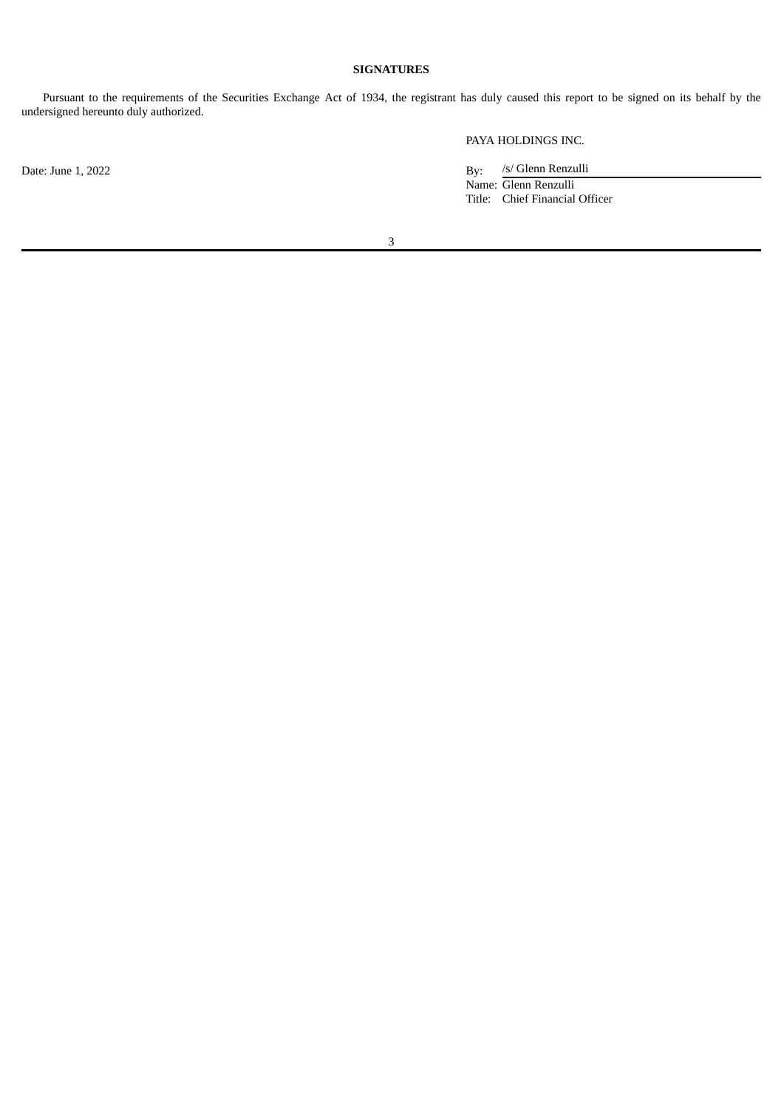## **SIGNATURES**

Pursuant to the requirements of the Securities Exchange Act of 1934, the registrant has duly caused this report to be signed on its behalf by the undersigned hereunto duly authorized.

PAYA HOLDINGS INC.

/s/ Glenn Renzulli Name: Glenn Renzulli Title: Chief Financial Officer

3

Date: June 1, 2022 By: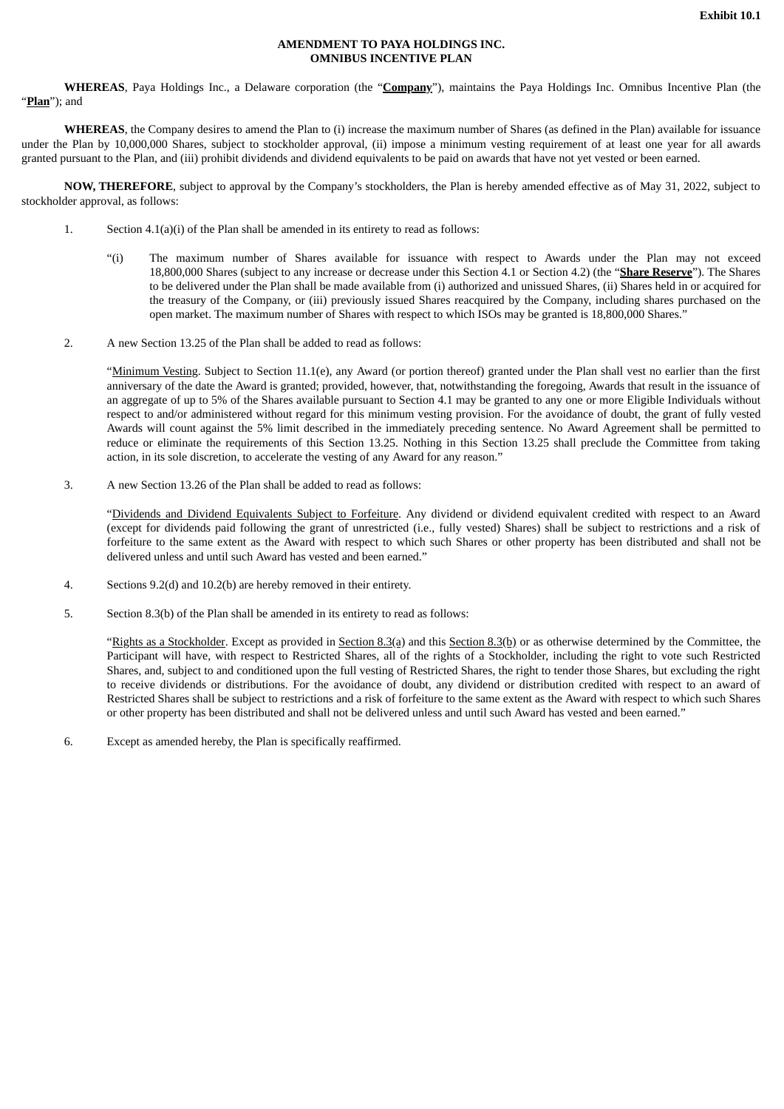#### **AMENDMENT TO PAYA HOLDINGS INC. OMNIBUS INCENTIVE PLAN**

<span id="page-4-0"></span>**WHEREAS**, Paya Holdings Inc., a Delaware corporation (the "**Company**"), maintains the Paya Holdings Inc. Omnibus Incentive Plan (the "**Plan**"); and

**WHEREAS**, the Company desires to amend the Plan to (i) increase the maximum number of Shares (as defined in the Plan) available for issuance under the Plan by 10,000,000 Shares, subject to stockholder approval, (ii) impose a minimum vesting requirement of at least one year for all awards granted pursuant to the Plan, and (iii) prohibit dividends and dividend equivalents to be paid on awards that have not yet vested or been earned.

**NOW, THEREFORE**, subject to approval by the Company's stockholders, the Plan is hereby amended effective as of May 31, 2022, subject to stockholder approval, as follows:

- 1. Section 4.1(a)(i) of the Plan shall be amended in its entirety to read as follows:
	- "(i) The maximum number of Shares available for issuance with respect to Awards under the Plan may not exceed 18,800,000 Shares (subject to any increase or decrease under this Section 4.1 or Section 4.2) (the "**Share Reserve**"). The Shares to be delivered under the Plan shall be made available from (i) authorized and unissued Shares, (ii) Shares held in or acquired for the treasury of the Company, or (iii) previously issued Shares reacquired by the Company, including shares purchased on the open market. The maximum number of Shares with respect to which ISOs may be granted is 18,800,000 Shares."
- 2. A new Section 13.25 of the Plan shall be added to read as follows:

"Minimum Vesting. Subject to Section 11.1(e), any Award (or portion thereof) granted under the Plan shall vest no earlier than the first anniversary of the date the Award is granted; provided, however, that, notwithstanding the foregoing, Awards that result in the issuance of an aggregate of up to 5% of the Shares available pursuant to Section 4.1 may be granted to any one or more Eligible Individuals without respect to and/or administered without regard for this minimum vesting provision. For the avoidance of doubt, the grant of fully vested Awards will count against the 5% limit described in the immediately preceding sentence. No Award Agreement shall be permitted to reduce or eliminate the requirements of this Section 13.25. Nothing in this Section 13.25 shall preclude the Committee from taking action, in its sole discretion, to accelerate the vesting of any Award for any reason."

3. A new Section 13.26 of the Plan shall be added to read as follows:

"Dividends and Dividend Equivalents Subject to Forfeiture. Any dividend or dividend equivalent credited with respect to an Award (except for dividends paid following the grant of unrestricted (i.e., fully vested) Shares) shall be subject to restrictions and a risk of forfeiture to the same extent as the Award with respect to which such Shares or other property has been distributed and shall not be delivered unless and until such Award has vested and been earned."

- 4. Sections 9.2(d) and 10.2(b) are hereby removed in their entirety.
- 5. Section 8.3(b) of the Plan shall be amended in its entirety to read as follows:

"Rights as a Stockholder. Except as provided in Section 8.3(a) and this Section 8.3(b) or as otherwise determined by the Committee, the Participant will have, with respect to Restricted Shares, all of the rights of a Stockholder, including the right to vote such Restricted Shares, and, subject to and conditioned upon the full vesting of Restricted Shares, the right to tender those Shares, but excluding the right to receive dividends or distributions. For the avoidance of doubt, any dividend or distribution credited with respect to an award of Restricted Shares shall be subject to restrictions and a risk of forfeiture to the same extent as the Award with respect to which such Shares or other property has been distributed and shall not be delivered unless and until such Award has vested and been earned."

6. Except as amended hereby, the Plan is specifically reaffirmed.